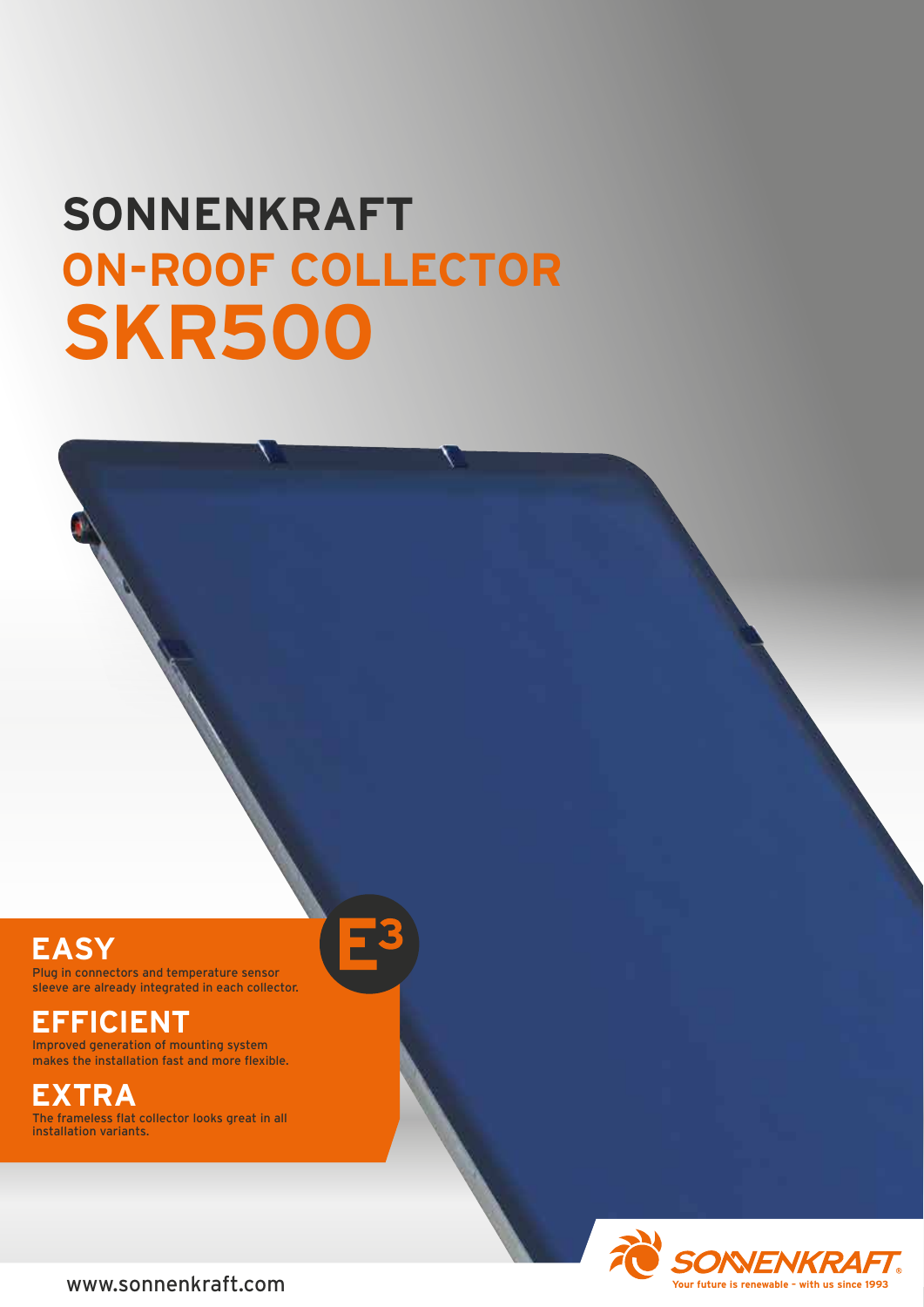# **SONNENKRAFT ON-ROOF COLLECTOR SKR500**

## **EASY**

Plug in connectors and temperature sensor sleeve are already integrated in each collector.

### **EFFICIENT**

Improved generation of mounting system makes the installation fast and more flexible.

# **EXTRA**

The frameless flat collector looks great in all installation variants.

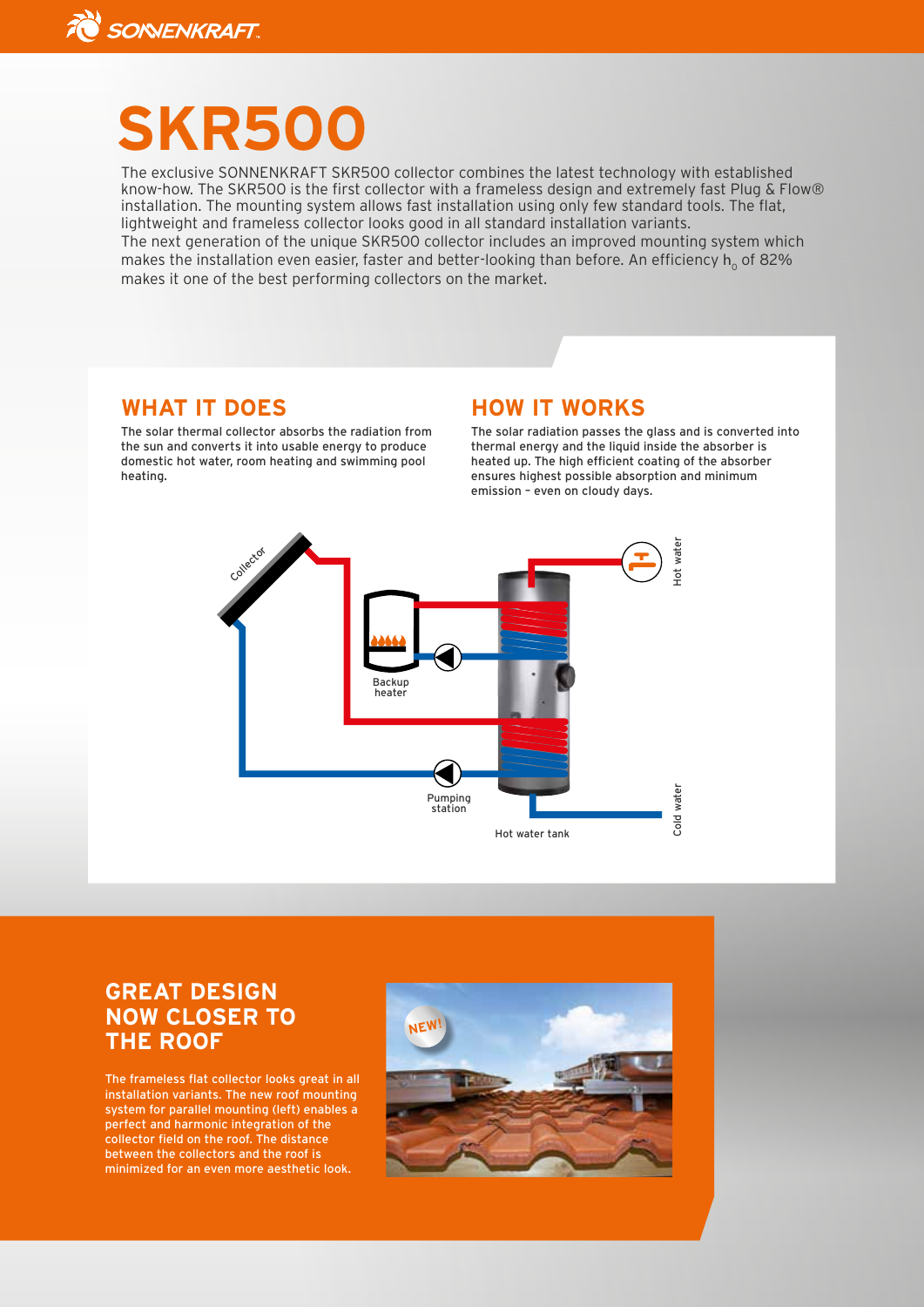

# **SKR500**

The exclusive SONNENKRAFT SKR500 collector combines the latest technology with established know-how. The SKR500 is the first collector with a frameless design and extremely fast Plug & Flow® installation. The mounting system allows fast installation using only few standard tools. The flat, lightweight and frameless collector looks good in all standard installation variants.

The next generation of the unique SKR500 collector includes an improved mounting system which makes the installation even easier, faster and better-looking than before. An efficiency  $h_0$  of 82% makes it one of the best performing collectors on the market.

#### **WHAT IT DOES**

The solar thermal collector absorbs the radiation from the sun and converts it into usable energy to produce domestic hot water, room heating and swimming pool heating.

#### **HOW IT WORKS**

The solar radiation passes the glass and is converted into thermal energy and the liquid inside the absorber is heated up. The high efficient coating of the absorber ensures highest possible absorption and minimum emission – even on cloudy days.



#### **GREAT DESIGN NOW CLOSER TO THE ROOF**

The frameless flat collector looks great in all installation variants. The new roof mounting system for parallel mounting (left) enables a perfect and harmonic integration of the collector field on the roof. The distance between the collectors and the roof is minimized for an even more aesthetic look.

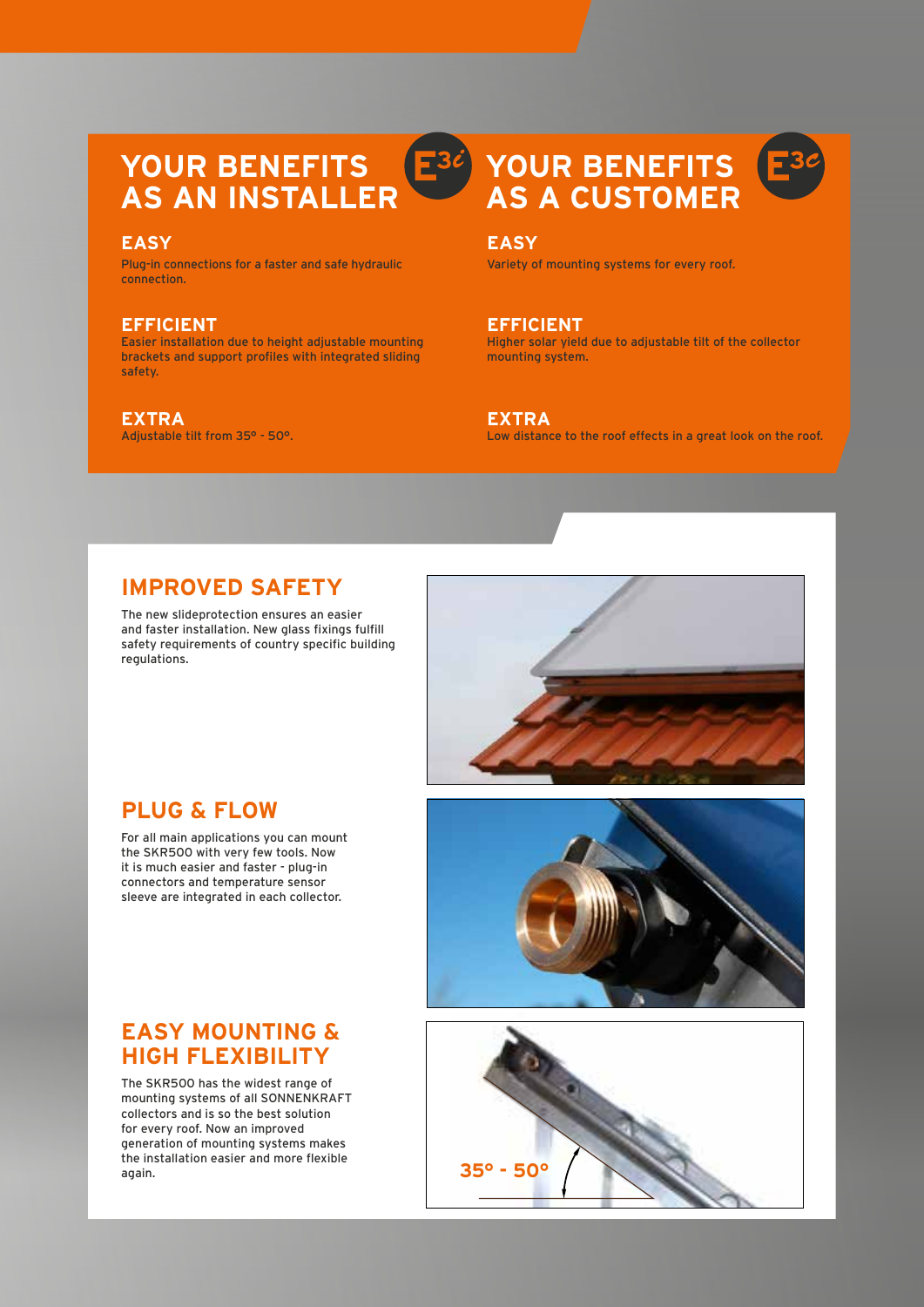#### **YOUR BENEFITS**  $E^{3\ell}$ **AS AN INSTALLER**

#### **EASY**

Plug-in connections for a faster and safe hydraulic connection.

#### **EFFICIENT**

Easier installation due to height adjustable mounting brackets and support profiles with integrated sliding safety.

#### **EXTRA**

Adjustable tilt from 35° - 50°.

## **YOUR BENEFITS AS A CUSTOMER**



Variety of mounting systems for every roof.

**EFFICIENT** Higher solar yield due to adjustable tilt of the collector mounting system.

**EXTRA** Low distance to the roof effects in a great look on the roof.

#### **IMPROVED SAFETY**

The new slideprotection ensures an easier and faster installation. New glass fixings fulfill safety requirements of country specific building regulations.



#### **PLUG & FLOW**

For all main applications you can mount the SKR500 with very few tools. Now it is much easier and faster - plug-in connectors and temperature sensor sleeve are integrated in each collector.



# **35° - 50°**

#### **EASY MOUNTING & HIGH FLEXIBILITY**

The SKR500 has the widest range of mounting systems of all SONNENKRAFT collectors and is so the best solution for every roof. Now an improved generation of mounting systems makes the installation easier and more flexible again.